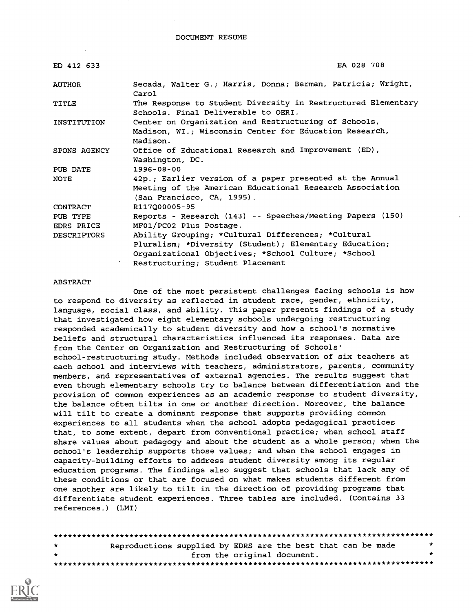| ED 412 633         | EA 028 708                                                                                          |  |
|--------------------|-----------------------------------------------------------------------------------------------------|--|
| <b>AUTHOR</b>      | Secada, Walter G.; Harris, Donna; Berman, Patricia; Wright,<br>Carol                                |  |
| TITLE              | The Response to Student Diversity in Restructured Elementary<br>Schools. Final Deliverable to OERI. |  |
| INSTITUTION        | Center on Organization and Restructuring of Schools,                                                |  |
|                    | Madison, WI.; Wisconsin Center for Education Research,                                              |  |
|                    | Madison.                                                                                            |  |
| SPONS AGENCY       | Office of Educational Research and Improvement (ED),                                                |  |
|                    | Washington, DC.                                                                                     |  |
| PUB DATE           | $1996 - 08 - 00$                                                                                    |  |
| NOTE               | 42p.; Earlier version of a paper presented at the Annual                                            |  |
|                    | Meeting of the American Educational Research Association                                            |  |
|                    | (San Francisco, CA, 1995).                                                                          |  |
| CONTRACT           | R117000005-95                                                                                       |  |
| PUB TYPE           | Reports - Research (143) -- Speeches/Meeting Papers (150)                                           |  |
| <b>EDRS PRICE</b>  | MF01/PC02 Plus Postage.                                                                             |  |
| <b>DESCRIPTORS</b> | Ability Grouping; *Cultural Differences; *Cultural                                                  |  |
|                    | Pluralism; *Diversity (Student); Elementary Education;                                              |  |
|                    | Organizational Objectives; *School Culture; *School                                                 |  |
|                    | Restructuring; Student Placement                                                                    |  |

#### ABSTRACT

One of the most persistent challenges facing schools is how to respond to diversity as reflected in student race, gender, ethnicity, language, social class, and ability. This paper presents findings of a study that investigated how eight elementary schools undergoing restructuring responded academically to student diversity and how a school's normative beliefs and structural characteristics influenced its responses. Data are from the Center on Organization and Restructuring of Schools' school-restructuring study. Methods included observation of six teachers at each school and interviews with teachers, administrators, parents, community members, and representatives of external agencies. The results suggest that even though elementary schools try to balance between differentiation and the provision of common experiences as an academic response to student diversity, the balance often tilts in one or another direction. Moreover, the balance will tilt to create a dominant response that supports providing common experiences to all students when the school adopts pedagogical practices that, to some extent, depart from conventional practice; when school staff share values about pedagogy and about the student as a whole person; when the school's leadership supports those values; and when the school engages in capacity-building efforts to address student diversity among its regular education programs. The findings also suggest that schools that lack any of these conditions or that are focused on what makes students different from one another are likely to tilt in the direction of providing programs that differentiate student experiences. Three tables are included. (Contains 33 references.) (LMI)

| $\star$      | Reproductions supplied by EDRS are the best that can be made |  |                             |  | $\rightarrow$ |
|--------------|--------------------------------------------------------------|--|-----------------------------|--|---------------|
| $\mathbf{r}$ |                                                              |  | from the original document. |  |               |
|              |                                                              |  |                             |  |               |

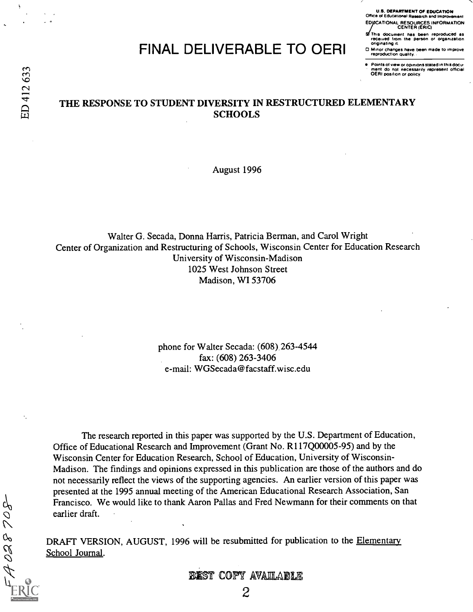# FINAL DELIVERABLE TO OERI

U.S. DEPARTMENT OF EDUCATION Office of Educational Research and Improvement EDICATIONAL RESOURCES INFORMATION<br>CENTER (ERIC)

This document has been reproduced as<br>received from the person or organization<br>originating it.

0 Minor changes have been made to improve reproduction quality.

 $\bullet$  Points of view or opinions stated in this documnent of view or opinions stated in this documnent of view or opinions of the research official rf) and the represent official represent official rf) on the creassari

### THE RESPONSE TO STUDENT DIVERSITY IN RESTRUCTURED ELEMENTARY **SCHOOLS**

August 1996

Walter G. Secada, Donna Harris, Patricia Berman, and Carol Wright Center of Organization and Restructuring of Schools, Wisconsin Center for Education Research University of Wisconsin-Madison 1025 West Johnson Street Madison, WI 53706

> phone for Walter Secada: (608) 263-4544 fax: (608) 263-3406 e-mail: WGSecada@facstaff.wisc.edu

The research reported in this paper was supported by the U.S. Department of Education, Office of Educational Research and Improvement (Grant No. R117Q00005-95) and by the Wisconsin Center for Education Research, School of Education, University of Wisconsin-Madison. The findings and opinions expressed in this publication are those of the authors and do not necessarily reflect the views of the supporting agencies. An earlier version of this paper was presented at the 1995 annual meeting of the American Educational Research Association, San Francisco. We would like to thank Aaron Pallas and Fred Newmann for their comments on that earlier draft.

DRAFT VERSION, AUGUST, 1996 will be resubmitted for publication to the Elementary School Journal.

BEST COPY AVAILABLE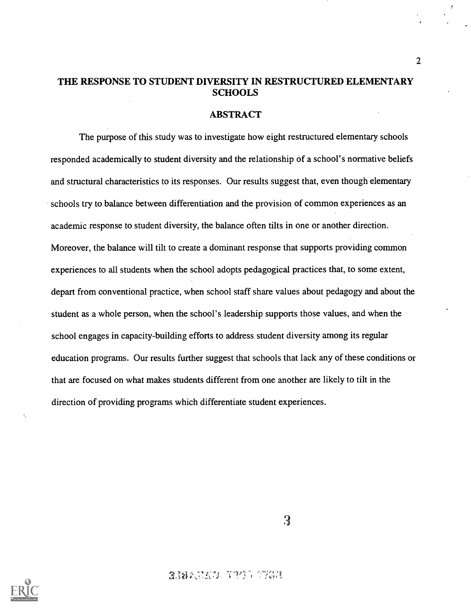### THE RESPONSE TO STUDENT DIVERSITY IN RESTRUCTURED ELEMENTARY **SCHOOLS**

#### ABSTRACT

The purpose of this study was to investigate how eight restructured elementary schools responded academically to student diversity and the relationship of a school's normative beliefs and structural characteristics to its responses. Our results suggest that, even though elementary schools try to balance between differentiation and the provision of common experiences as an academic response to student diversity, the balance often tilts in one or another direction. Moreover, the balance will tilt to create a dominant response that supports providing common experiences to all students when the school adopts pedagogical practices that, to some extent, depart from conventional practice, when school staff share values about pedagogy and about the student as a whole person, when the school's leadership supports those values, and when the school engages in capacity-building efforts to address student diversity among its regular education programs. Our results further suggest that schools that lack any of these conditions or that are focused on what makes students different from one another are likely to tilt in the direction of providing programs which differentiate student experiences.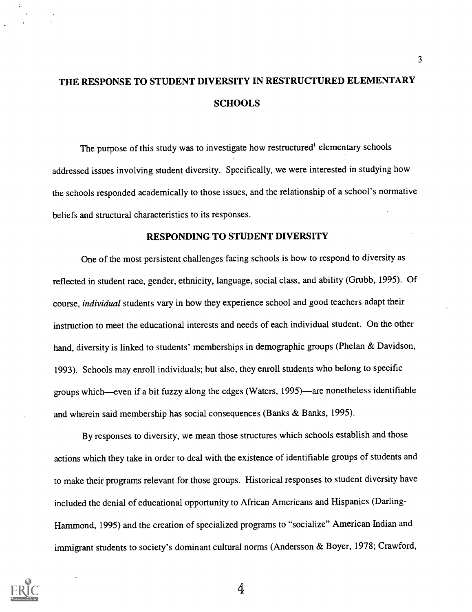# THE RESPONSE TO STUDENT DIVERSITY IN RESTRUCTURED ELEMENTARY **SCHOOLS**

The purpose of this study was to investigate how restructured<sup>1</sup> elementary schools addressed issues involving student diversity. Specifically, we were interested in studying how the schools responded academically to those issues, and the relationship of a school's normative beliefs and structural characteristics to its responses.

#### RESPONDING TO STUDENT DIVERSITY

One of the most persistent challenges facing schools is how to respond to diversity as reflected in student race, gender, ethnicity, language, social class, and ability (Grubb, 1995). Of course, individual students vary in how they experience school and good teachers adapt their instruction to meet the educational interests and needs of each individual student. On the other hand, diversity is linked to students' memberships in demographic groups (Phelan & Davidson, 1993). Schools may enroll individuals; but also, they enroll students who belong to specific groups which—even if a bit fuzzy along the edges (Waters, 1995)—are nonetheless identifiable and wherein said membership has social consequences (Banks & Banks, 1995).

By responses to diversity, we mean those structures which schools establish and those actions which they take in order to deal with the existence of identifiable groups of students and to make their programs relevant for those groups. Historical responses to student diversity have included the denial of educational opportunity to African Americans and Hispanics (Darling-Hammond, 1995) and the creation of specialized programs to "socialize" American Indian and immigrant students to society's dominant cultural norms (Andersson & Boyer, 1978; Crawford,

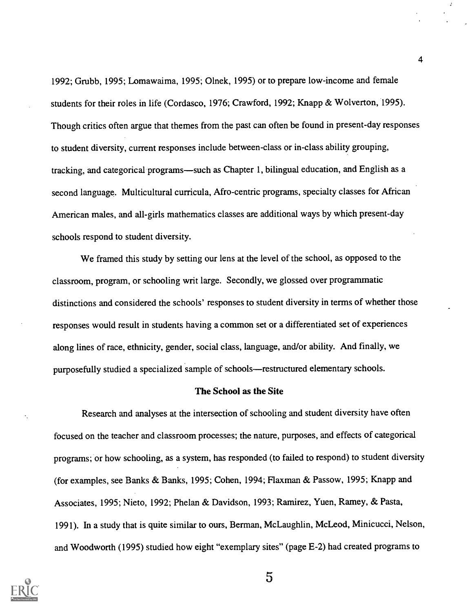1992; Grubb, 1995; Lomawaima, 1995; Olnek, 1995) or to prepare low-income and female students for their roles in life (Cordasco, 1976; Crawford, 1992; Knapp & Wolverton, 1995). Though critics often argue that themes from the past can often be found in present-day responses to student diversity, current responses include between-class or in-class ability grouping, tracking, and categorical programs—such as Chapter 1, bilingual education, and English as a second language. Multicultural curricula, Afro-centric programs, specialty classes for African American males, and all-girls mathematics classes are additional ways by which present-day schools respond to student diversity.

We framed this study by setting our lens at the level of the school, as opposed to the classroom, program, or schooling writ large. Secondly, we glossed over programmatic distinctions and considered the schools' responses to student diversity in terms of whether those responses would result in students having a common set or a differentiated set of experiences along lines of race, ethnicity, gender, social class, language, and/or ability. And finally, we purposefully studied a specialized sample of schools-restructured elementary schools.

#### The School as the Site

Research and analyses at the intersection of schooling and student diversity have often focused on the teacher and classroom processes; the nature, purposes, and effects of categorical programs; or how schooling, as a system, has responded (to failed to respond) to student diversity (for examples, see Banks & Banks, 1995; Cohen, 1994; Flaxman & Passow, 1995; Knapp and Associates, 1995; Nieto, 1992; Phelan & Davidson, 1993; Ramirez, Yuen, Ramey, & Pasta, 1991). In a study that is quite similar to ours, Berman, McLaughlin, McLeod, Minicucci, Nelson, and Woodworth (1995) studied how eight "exemplary sites" (page E-2) had created programs to



4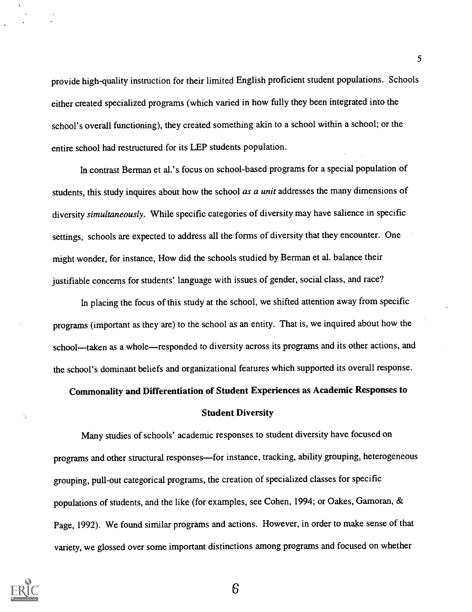provide high-quality instruction for their limited English proficient student populations. Schools either created specialized programs (which varied in how fully they been integrated into the school's overall functioning), they created something akin to a school within a school; or the entire school had restructured for its LEP students population.

In contrast Berman et al.'s focus on school-based programs for a special population of students, this study inquires about how the school as a unit addresses the many dimensions of diversity simultaneously. While specific categories of diversity may have salience in specific settings, schools are expected to address all the forms of diversity that they encounter. One might wonder, for instance, How did the schools studied by Berman et al. balance their justifiable concerns for students' language with issues of gender, social class, and race?

In placing the focus of this study at the school, we shifted attention away from specific programs (important as they are) to the school as an entity. That is, we inquired about how the school---taken as a whole---responded to diversity across its programs and its other actions, and the school's dominant beliefs and organizational features which supported its overall response.

Commonality and Differentiation of Student Experiences as Academic Responses to

#### Student Diversity

Many studies of schools' academic responses to student diversity have focused on programs and other structural responses—for instance, tracking, ability grouping, heterogeneous grouping, pull-out categorical programs, the creation of specialized classes for specific populations of students, and the like (for examples, see Cohen, 1994; or Oakes, Gamoran, & Page, 1992). We found similar programs and actions. However, in order to make sense of that variety, we glossed over some important distinctions among programs and focused on whether

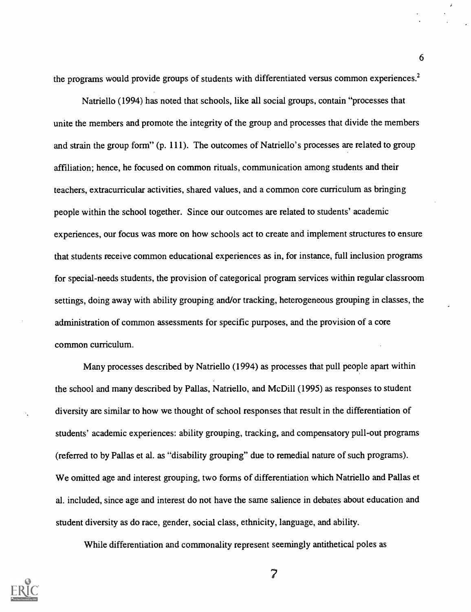the programs would provide groups of students with differentiated versus common experiences.<sup>2</sup>

Natriello (1994) has noted that schools, like all social groups, contain "processes that unite the members and promote the integrity of the group and processes that divide the members and strain the group form" (p. 111). The outcomes of Natriello's processes are related to group affiliation; hence, he focused on common rituals, communication among students and their teachers, extracurricular activities, shared values, and a common core curriculum as bringing people within the school together. Since our outcomes are related to students' academic experiences, our focus was more on how schools act to create and implement structures to ensure that students receive common educational experiences as in, for instance, full inclusion programs for special-needs students, the provision of categorical program services within regular classroom settings, doing away with ability grouping and/or tracking, heterogeneous grouping in classes, the administration of common assessments for specific purposes, and the provision of a core common curriculum.

Many processes described by Natriello (1994) as processes that pull people apart within the school and many described by Pallas, Natriello, and Mc Dill (1995) as responses to student diversity are similar to how we thought of school responses that result in the differentiation of students' academic experiences: ability grouping, tracking, and compensatory pull-out programs (referred to by Pallas et al. as "disability grouping" due to remedial nature of such programs). We omitted age and interest grouping, two forms of differentiation which Natriello and Pallas et al. included, since age and interest do not have the same salience in debates about education and student diversity as do race, gender, social class, ethnicity, language, and ability.

While differentiation and commonality represent seemingly antithetical poles as



6

 $\overline{z}$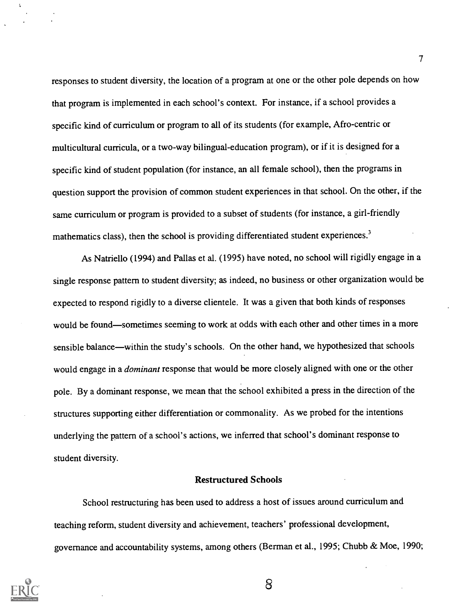responses to student diversity, the location of a program at one or the other pole depends on how that program is implemented in each school's context. For instance, if a school provides a specific kind of curriculum or program to all of its students (for example, Afro-centric or multicultural curricula, or a two-way bilingual-education program), or if it is designed for a specific kind of student population (for instance, an all female school), then the programs in question support the provision of common student experiences in that school. On the other, if the same curriculum or program is provided to a subset of students (for instance, a girl-friendly mathematics class), then the school is providing differentiated student experiences.<sup>3</sup>

As Natriello (1994) and Pallas et al. (1995) have noted, no school will rigidly engage in a single response pattern to student diversity; as indeed, no business or other organization would be expected to respond rigidly to a diverse clientele. It was a given that both kinds of responses would be found—sometimes seeming to work at odds with each other and other times in a more sensible balance—within the study's schools. On the other hand, we hypothesized that schools would engage in a *dominant* response that would be more closely aligned with one or the other pole. By a dominant response, we mean that the school exhibited a press in the direction of the structures supporting either differentiation or commonality. As we probed for the intentions underlying the pattern of a school's actions, we inferred that school's dominant response to student diversity.

#### Restructured Schools

School restructuring has been used to address a host of issues around curriculum and teaching reform, student diversity and achievement, teachers' professional development, governance and accountability systems, among others (Berman et al., 1995; Chubb & Moe, 1990;



8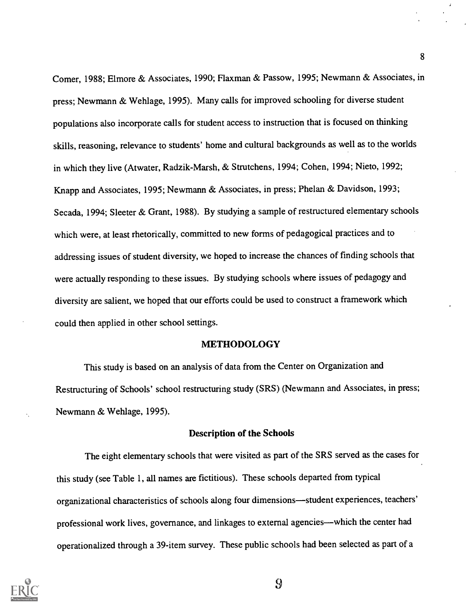Comer, 1988; Elmore & Associates, 1990; Flaxman & Passow, 1995; Newmann & Associates, in press; Newmann & Wehlage, 1995). Many calls for improved schooling for diverse student populations also incorporate calls for student access to instruction that is focused on thinking skills, reasoning, relevance to students' home and cultural backgrounds as well as to the worlds in which they live (Atwater, Radzik-Marsh, & Strutchens, 1994; Cohen, 1994; Nieto, 1992; Knapp and Associates, 1995; Newmann & Associates, in press; Phelan & Davidson, 1993; Secada, 1994; Sleeter & Grant, 1988). By studying a sample of restructured elementary schools which were, at least rhetorically, committed to new forms of pedagogical practices and to addressing issues of student diversity, we hoped to increase the chances of finding schools that were actually responding to these issues. By studying schools where issues of pedagogy and diversity are salient, we hoped that our efforts could be used to construct a framework which could then applied in other school settings.

#### METHODOLOGY

This study is based on an analysis of data from the Center on Organization and Restructuring of Schools' school restructuring study (SRS) (Newmann and Associates, in press; Newmann & Wehlage, 1995).

#### Description of the Schools

The eight elementary schools that were visited as part of the SRS served as the cases for this study (see Table 1, all names are fictitious). These schools departed from typical organizational characteristics of schools along four dimensions—student experiences, teachers' professional work lives, governance, and linkages to external agencies—which the center had operationalized through a 39-item survey. These public schools had been selected as part of a



 $\overline{9}$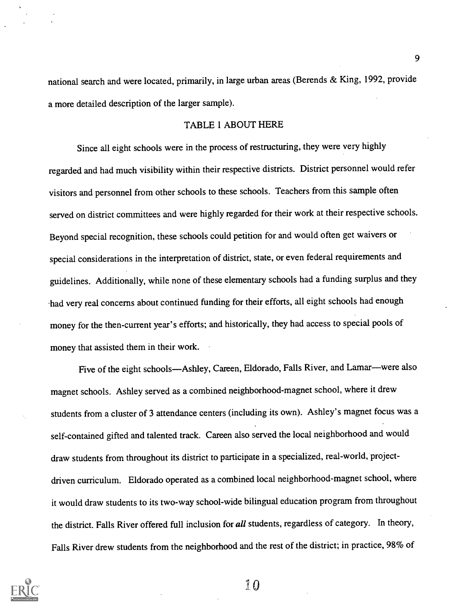national search and were located, primarily, in large urban areas (Berends & King, 1992, provide a more detailed description of the larger sample).

#### TABLE 1 ABOUT HERE

Since all eight schools were in the process of restructuring, they were very highly regarded and had much visibility within their respective districts. District personnel would refer visitors and personnel from other schools to these schools. Teachers from this sample often served on district committees and were highly regarded for their work at their respective schools. Beyond special recognition, these schools could petition for and would often get waivers or special considerations in the interpretation of district, state, or even federal requirements and guidelines. Additionally, while none of these elementary schools had a funding surplus and they had very real concerns about continued funding for their efforts, all eight schools had enough money for the then-current year's efforts; and historically, they had access to special pools of money that assisted them in their work.

Five of the eight schools—Ashley, Careen, Eldorado, Falls River, and Lamar—were also magnet schools. Ashley served as a combined neighborhood-magnet school, where it drew students from a cluster of 3 attendance centers (including its own). Ashley's magnet focus was a self-contained gifted and talented track. Careen also served the local neighborhood and would draw students from throughout its district to participate in a specialized, real-world, projectdriven curriculum. Eldorado operated as a combined local neighborhood-magnet school, where it would draw students to its two-way school-wide bilingual education program from throughout the district. Falls River offered full inclusion for all students, regardless of category. In theory, Falls River drew students from the neighborhood and the rest of the district; in practice, 98% of



 $\sqrt[3]{0}$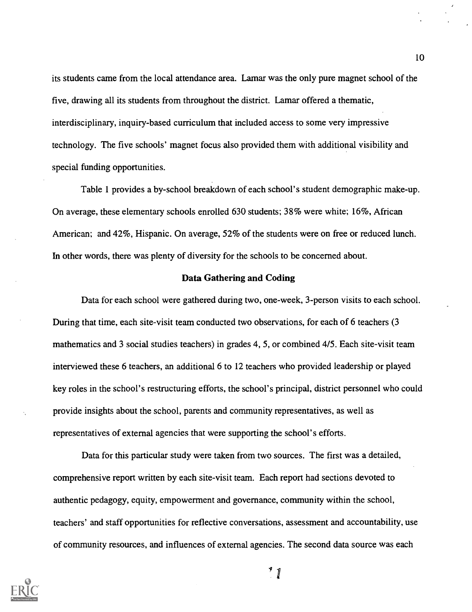its students came from the local attendance area. Lamar was the only pure magnet school of the five, drawing all its students from throughout the district. Lamar offered a thematic, interdisciplinary, inquiry-based curriculum that included access to some very impressive technology. The five schools' magnet focus also provided them with additional visibility and special funding opportunities.

Table 1 provides a by-school breakdown of each school's student demographic make-up. On average, these elementary schools enrolled 630 students; 38% were white; 16%, African American; and 42%, Hispanic. On average, 52% of the students were on free or reduced lunch. In other words, there was plenty of diversity for the schools to be concerned about.

#### Data Gathering and Coding

Data for each school were gathered during two, one-week, 3-person visits to each school. During that time, each site-visit team conducted two observations, for each of 6 teachers (3 mathematics and 3 social studies teachers) in grades 4, 5, or combined 4/5. Each site-visit team interviewed these 6 teachers, an additional 6 to 12 teachers who provided leadership or played key roles in the school's restructuring efforts, the school's principal, district personnel who could provide insights about the school, parents and community representatives, as well as representatives of external agencies that were supporting the school's efforts.

Data for this particular study were taken from two sources. The first was a detailed, comprehensive report written by each site-visit team. Each report had sections devoted to authentic pedagogy, equity, empowerment and governance, community within the school, teachers' and staff opportunities for reflective conversations, assessment and accountability, use of community resources, and influences of external agencies. The second data source was each



10

 $^{\prime}$  1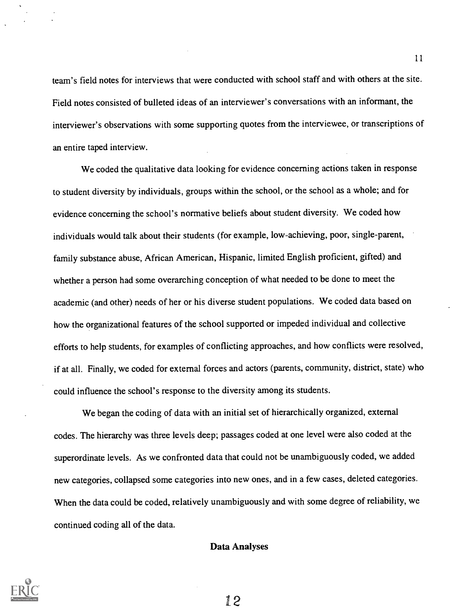team's field notes for interviews that were conducted with school staff and with others at the site. Field notes consisted of bulleted ideas of an interviewer's conversations with an informant, the interviewer's observations with some supporting quotes from the interviewee, or transcriptions of an entire taped interview.

We coded the qualitative data looking for evidence concerning actions taken in response to student diversity by individuals, groups within the school, or the school as a whole; and for evidence concerning the school's normative beliefs about student diversity. We coded how individuals would talk about their students (for example, low-achieving, poor, single-parent, family substance abuse, African American, Hispanic, limited English proficient, gifted) and whether a person had some overarching conception of what needed to be done to meet the academic (and other) needs of her or his diverse student populations. We coded data based on how the organizational features of the school supported or impeded individual and collective efforts to help students, for examples of conflicting approaches, and how conflicts were resolved, if at all. Finally, we coded for external forces and actors (parents, community, district, state) who could influence the school's response to the diversity among its students.

We began the coding of data with an initial set of hierarchically organized, external codes. The hierarchy was three levels deep; passages coded at one level were also coded at the superordinate levels. As we confronted data that could not be unambiguously coded, we added new categories, collapsed some categories into new ones, and in a few cases, deleted categories. When the data could be coded, relatively unambiguously and with some degree of reliability, we continued coding all of the data.

#### Data Analyses



1.2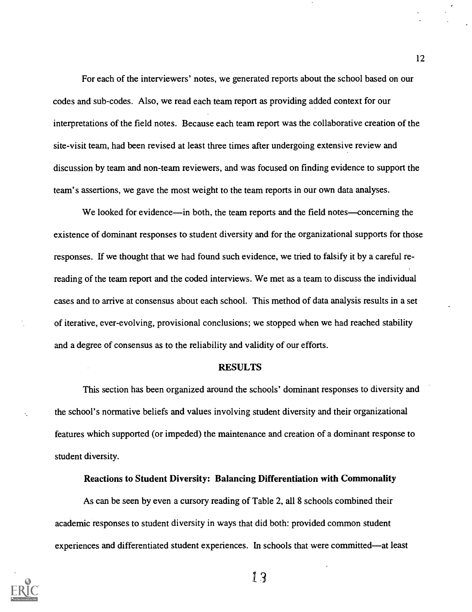For each of the interviewers' notes, we generated reports about the school based on our codes and sub-codes. Also, we read each team report as providing added context for our interpretations of the field notes. Because each team report was the collaborative creation of the site-visit team, had been revised at least three times after undergoing extensive review and discussion by team and non-team reviewers, and was focused on finding evidence to support the team's assertions, we gave the most weight to the team reports in our own data analyses.

We looked for evidence—in both, the team reports and the field notes—concerning the existence of dominant responses to student diversity and for the organizational supports for those responses. If we thought that we had found such evidence, we tried to falsify it by a careful rereading of the team report and the coded interviews. We met as a team to discuss the individual cases and to arrive at consensus about each school. This method of data analysis results in a set of iterative, ever-evolving, provisional conclusions; we stopped when we had reached stability and a degree of consensus as to the reliability and validity of our efforts.

#### RESULTS

This section has been organized around the schools' dominant responses to diversity and the school's normative beliefs and values involving student diversity and their organizational features which supported (or impeded) the maintenance and creation of a dominant response to student diversity.

#### Reactions to Student Diversity: Balancing Differentiation with Commonality

As can be seen by even a cursory reading of Table 2, all 8 schools combined their academic responses to student diversity in ways that did both: provided common student experiences and differentiated student experiences. In schools that were committed—at least



13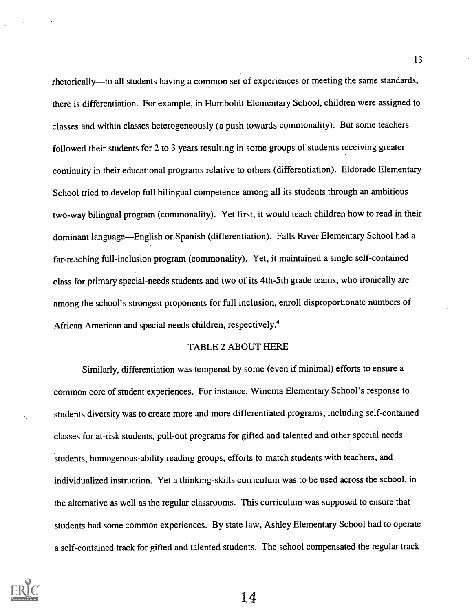rhetorically—to all students having a common set of experiences or meeting the same standards, there is differentiation. For example, in Humboldt Elementary School, children were assigned to classes and within classes heterogeneously (a push towards commonality). But some teachers followed their students for 2 to 3 years resulting in some groups of students receiving greater continuity in their educational programs relative to others (differentiation). Eldorado Elementary School tried to develop full bilingual competence among all its students through an ambitious two-way bilingual program (commonality). Yet first, it would teach children how to read in their dominant language—English or Spanish (differentiation). Falls River Elementary School had a far-reaching full-inclusion program (commonality). Yet, it maintained a single self-contained class for primary special-needs students and two of its 4th-5th grade teams, who ironically are among the school's strongest proponents for full inclusion, enroll disproportionate numbers of African American and special needs children, respectively.'

#### TABLE 2 ABOUT HERE

Similarly, differentiation was tempered by some (even if minimal) efforts to ensure a common core of student experiences. For instance, Winema Elementary School's response to students diversity was to create more and more differentiated programs, including self-contained classes for at-risk students, pull-out programs for gifted and talented and other special needs students, homogenous-ability reading groups, efforts to match students with teachers, and individualized instruction. Yet a thinking-skills curriculum was to be used across the school, in the alternative as well as the regular classrooms. This curriculum was supposed to ensure that students had some common experiences. By state law, Ashley Elementary School had to operate a self-contained track for gifted and talented students. The school compensated the regular track

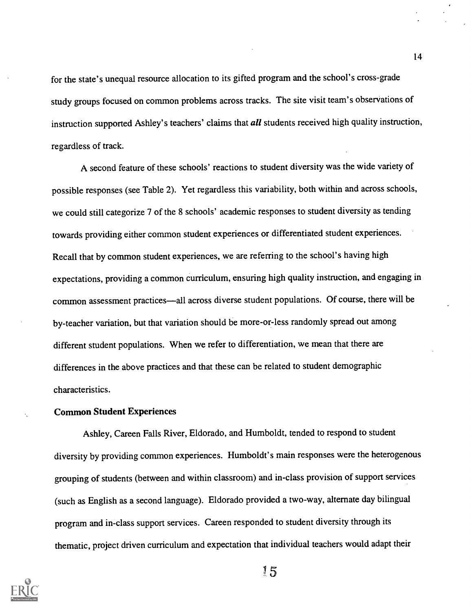for the state's unequal resource allocation to its gifted program and the school's cross-grade study groups focused on common problems across tracks. The site visit team's observations of instruction supported Ashley's teachers' claims that *all* students received high quality instruction, regardless of track.

A second feature of these schools' reactions to student diversity was the wide variety of possible responses (see Table 2). Yet regardless this variability, both within and across schools, we could still categorize 7 of the 8 schools' academic responses to student diversity as tending towards providing either common student experiences or differentiated student experiences. Recall that by common student experiences, we are referring to the school's having high expectations, providing a common curriculum, ensuring high quality instruction, and engaging in common assessment practices—all across diverse student populations. Of course, there will be by-teacher variation, but that variation should be more-or-less randomly spread out among different student populations. When we refer to differentiation, we mean that there are differences in the above practices and that these can be related to student demographic characteristics.

#### Common Student Experiences

Ashley, Careen Falls River, Eldorado, and Humboldt, tended to respond to student diversity by providing common experiences. Humboldt's main responses were the heterogenous grouping of students (between and within classroom) and in-class provision of support services (such as English as a second language). Eldorado provided a two-way, alternate day bilingual program and in-class support services. Careen responded to student diversity through its thematic, project driven curriculum and expectation that individual teachers would adapt their



l5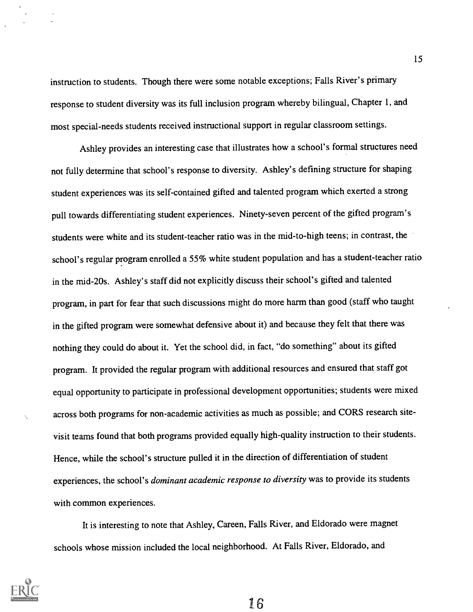instruction to students. Though there were some notable exceptions; Falls River's primary response to student diversity was its full inclusion program whereby bilingual, Chapter 1, and most special-needs students received instructional support in regular classroom settings.

Ashley provides an interesting case that illustrates how a school's formal structures need not fully determine that school's response to diversity. Ashley's defining structure for shaping student experiences was its self-contained gifted and talented program which exerted a strong pull towards differentiating student experiences. Ninety-seven percent of the gifted program's students were white and its student-teacher ratio was in the mid-to-high teens; in contrast, the school's regular program enrolled a 55% white student population and has a student-teacher ratio in the mid-20s. Ashley's staff did not explicitly discuss their school's gifted and talented program, in part for fear that such discussions might do more harm than good (staff who taught in the gifted program were somewhat defensive about it) and because they felt that there was nothing they could do about it. Yet the school did, in fact, "do something" about its gifted program. It provided the regular program with additional resources and ensured that staff got equal opportunity to participate in professional development opportunities; students were mixed across both programs for non-academic activities as much as possible; and CORS research sitevisit teams found that both programs provided equally high-quality instruction to their students. Hence, while the school's structure pulled it in the direction of differentiation of student experiences, the school's dominant academic response to diversity was to provide its students with common experiences.

It is interesting to note that Ashley, Careen, Falls River, and Eldorado were magnet schools whose mission included the local neighborhood. At Falls River, Eldorado, and

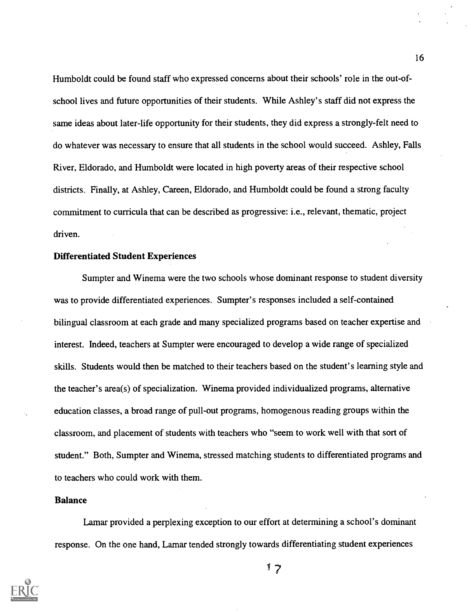Humboldt could be found staff who expressed concerns about their schools' role in the out-ofschool lives and future opportunities of their students. While Ashley's staff did not express the same ideas about later-life opportunity for their students, they did express a strongly-felt need to do whatever was necessary to ensure that all students in the school would succeed. Ashley, Falls River, Eldorado, and Humboldt were located in high poverty areas of their respective school districts. Finally, at Ashley, Careen, Eldorado, and Humboldt could be found a strong faculty commitment to curricula that can be described as progressive: i.e., relevant, thematic, project driven.

#### Differentiated Student Experiences

Sumpter and Winema were the two schools whose dominant response to student diversity was to provide differentiated experiences. Sumpter's responses included a self-contained bilingual classroom at each grade and many specialized programs based on teacher expertise and interest. Indeed, teachers at Sumpter were encouraged to develop a wide range of specialized skills. Students would then be matched to their teachers based on the student's learning style and the teacher's area(s) of specialization. Winema provided individualized programs, alternative education classes, a broad range of pull-out programs, homogenous reading groups within the classroom, and placement of students with teachers who "seem to work well with that sort of student." Both, Sumpter and Winema, stressed matching students to differentiated programs and to teachers who could work with them.

#### Balance

Lamar provided a perplexing exception to our effort at determining a school's dominant response. On the one hand, Lamar tended strongly towards differentiating student experiences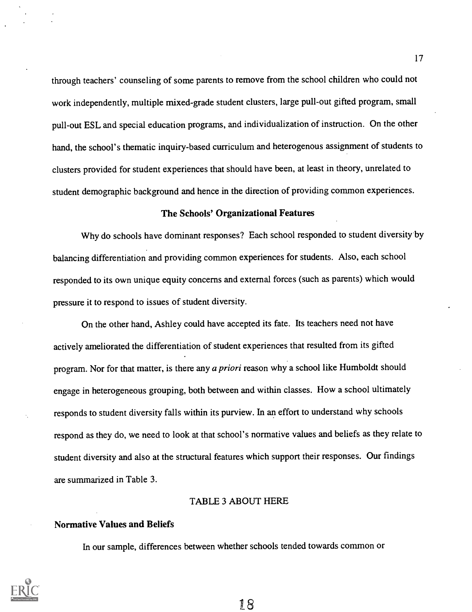through teachers' counseling of some parents to remove from the school children who could not work independently, multiple mixed-grade student clusters, large pull-out gifted program, small pull-out ESL and special education programs, and individualization of instruction. On the other hand, the school's thematic inquiry-based curriculum and heterogenous assignment of students to clusters provided for student experiences that should have been, at least in theory, unrelated to student demographic background and hence in the direction of providing common experiences.

#### The Schools' Organizational Features

Why do schools have dominant responses? Each school responded to student diversity by balancing differentiation and providing common experiences for students. Also, each school responded to its own unique equity concerns and external forces (such as parents) which would pressure it to respond to issues of student diversity.

On the other hand, Ashley could have accepted its fate. Its teachers need not have actively ameliorated the differentiation of student experiences that resulted from its gifted program. Nor for that matter, is there any a priori reason why a school like Humboldt should engage in heterogeneous grouping, both between and within classes. How a school ultimately responds to student diversity falls within its purview. In an effort to understand why schools respond as they do, we need to look at that school's normative values and beliefs as they relate to student diversity and also at the structural features which support their responses. Our findings are summarized in Table 3.

#### TABLE 3 ABOUT HERE

#### Normative Values and Beliefs

In our sample, differences between whether schools tended towards common or

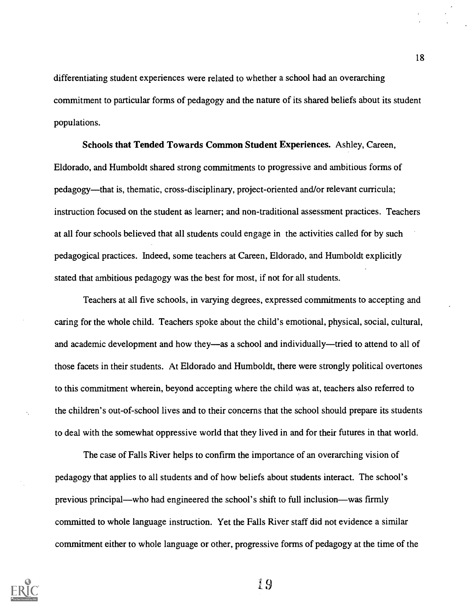differentiating student experiences were related to whether a school had an overarching commitment to particular forms of pedagogy and the nature of its shared beliefs about its student populations.

Schools that Tended Towards Common Student Experiences. Ashley, Careen, Eldorado, and Humboldt shared strong commitments to progressive and ambitious forms of pedagogy—that is, thematic, cross-disciplinary, project-oriented and/or relevant curricula; instruction focused on the student as learner; and non-traditional assessment practices. Teachers at all four schools believed that all students could engage in the activities called for by such pedagogical practices. Indeed, some teachers at Careen, Eldorado, and Humboldt explicitly stated that ambitious pedagogy was the best for most, if not for all students.

Teachers at all five schools, in varying degrees, expressed commitments to accepting and caring for the whole child. Teachers spoke about the child's emotional, physical, social, cultural, and academic development and how they—as a school and individually—tried to attend to all of those facets in their students. At Eldorado and Humboldt, there were strongly political overtones to this commitment wherein, beyond accepting where the child was at, teachers also referred to the children's out-of-school lives and to their concerns that the school should prepare its students to deal with the somewhat oppressive world that they lived in and for their futures in that world.

The case of Falls River helps to confirm the importance of an overarching vision of pedagogy that applies to all students and of how beliefs about students interact. The school's previous principal—who had engineered the school's shift to full inclusion—was firmly committed to whole language instruction. Yet the Falls River staff did not evidence a similar commitment either to whole language or other, progressive forms of pedagogy at the time of the



19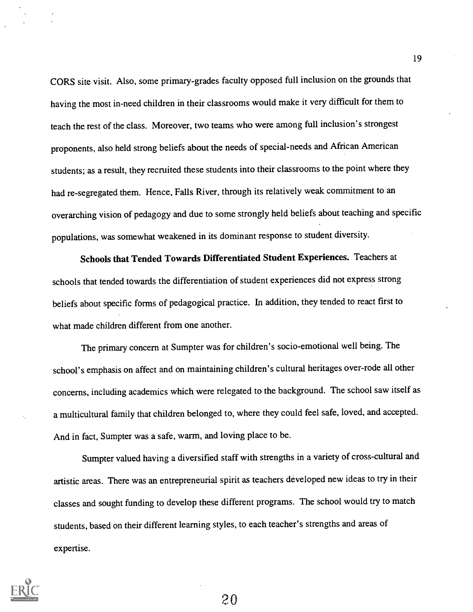CORS site visit. Also, some primary-grades faculty opposed full inclusion on the grounds that having the most in-need children in their classrooms would make it very difficult for them to teach the rest of the class. Moreover, two teams who were among full inclusion's strongest proponents, also held strong beliefs about the needs of special-needs and African American students; as a result, they recruited these students into their classrooms to the point where they had re-segregated them. Hence, Falls River, through its relatively weak commitment to an overarching vision of pedagogy and due to some strongly held beliefs about teaching and specific populations, was somewhat weakened in its dominant response to student diversity.

Schools that Tended Towards Differentiated Student Experiences. Teachers at schools that tended towards the differentiation of student experiences did not express strong beliefs about specific forms of pedagogical practice. In addition, they tended to react first to what made children different from one another.

The primary concern at Sumpter was for children's socio-emotional well being. The school's emphasis on affect and on maintaining children's cultural heritages over-rode all other concerns, including academics which were relegated to the background. The school saw itself as a multicultural family that children belonged to, where they could feel safe, loved, and accepted. And in fact, Sumpter was a safe, warm, and loving place to be.

Sumpter valued having a diversified staff with strengths in a variety of cross-cultural and artistic areas. There was an entrepreneurial spirit as teachers developed new ideas to try in their classes and sought funding to develop these different programs. The school would try to match students, based on their different learning styles, to each teacher's strengths and areas of expertise.



20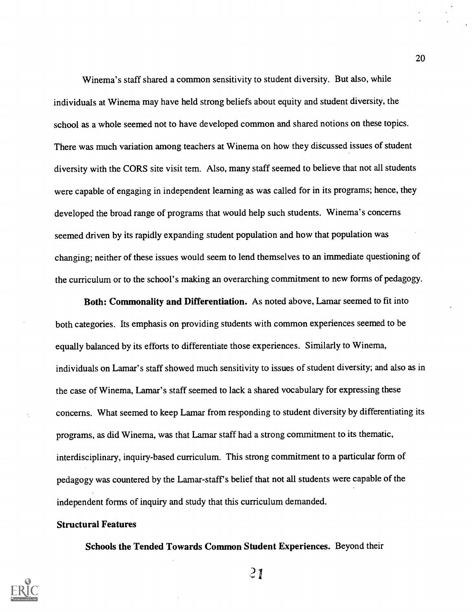Winema's staff shared a common sensitivity to student diversity. But also, while individuals at Winema may have held strong beliefs about equity and student diversity, the school as a whole seemed not to have developed common and shared notions on these topics. There was much variation among teachers at Winema on how they discussed issues of student diversity with the CORS site visit tem. Also, many staff seemed to believe that not all students were capable of engaging in independent learning as was called for in its programs; hence, they developed the broad range of programs that would help such students. Winema's concerns seemed driven by its rapidly expanding student population and how that population was changing; neither of these issues would seem to lend themselves to an immediate questioning of the curriculum or to the school's making an overarching commitment to new forms of pedagogy.

Both: Commonality and Differentiation. As noted above, Lamar seemed to fit into both categories. Its emphasis on providing students with common experiences seemed to be equally balanced by its efforts to differentiate those experiences. Similarly to Winema, individuals on Lamar's staff showed much sensitivity to issues of student diversity; and also as in the case of Winema, Lamar's staff seemed to lack a shared vocabulary for expressing these concerns. What seemed to keep Lamar from responding to student diversity by differentiating its programs, as did Winema, was that Lamar staff had a strong commitment to its thematic, interdisciplinary, inquiry-based curriculum. This strong commitment to a particular form of pedagogy was countered by the Lamar-staff's belief that not all students were capable of the independent forms of inquiry and study that this curriculum demanded.

#### Structural Features

Schools the Tended Towards Common Student Experiences. Beyond their



 $21$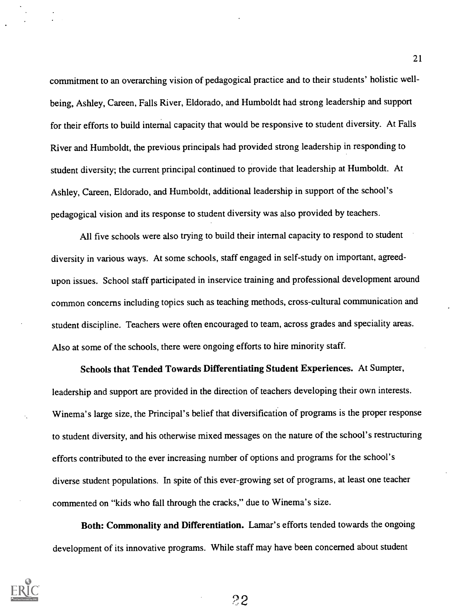commitment to an overarching vision of pedagogical practice and to their students' holistic wellbeing, Ashley, Careen, Falls River, Eldorado, and Humboldt had strong leadership and support for their efforts to build internal capacity that would be responsive to student diversity. At Falls River and Humboldt, the previous principals had provided strong leadership in responding to student diversity; the current principal continued to provide that leadership at Humboldt. At Ashley, Careen, Eldorado, and Humboldt, additional leadership in support of the school's pedagogical vision and its response to student diversity was also provided by teachers.

All five schools were also trying to build their internal capacity to respond to student diversity in various ways. At some schools, staff engaged in self-study on important, agreedupon issues. School staff participated in inservice training and professional development around common concerns including topics such as teaching methods, cross-cultural communication and student discipline. Teachers were often encouraged to team, across grades and speciality areas. Also at some of the schools, there were ongoing efforts to hire minority staff.

Schools that Tended Towards Differentiating Student Experiences. At Sumpter, leadership and support are provided in the direction of teachers developing their own interests. Winema's large size, the Principal's belief that diversification of programs is the proper response to student diversity, and his otherwise mixed messages on the nature of the school's restructuring efforts contributed to the ever increasing number of options and programs for the school's diverse student populations. In spite of this ever-growing set of programs, at least one teacher commented on "kids who fall through the cracks," due to Winema's size.

Both: Commonality and Differentiation. Lamar's efforts tended towards the ongoing development of its innovative programs. While staff may have been concerned about student

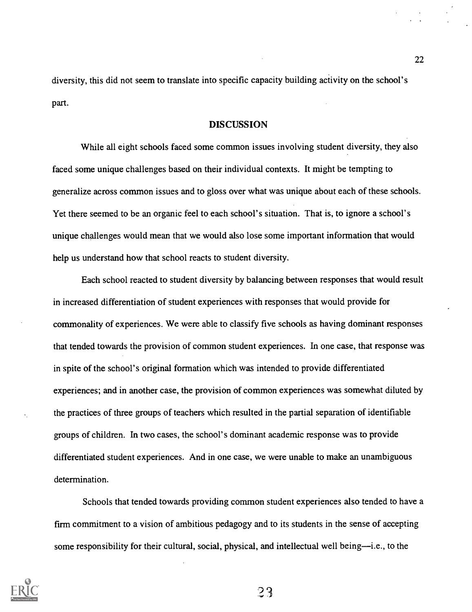diversity, this did not seem to translate into specific capacity building activity on the school's part.

#### DISCUSSION

While all eight schools faced some common issues involving student diversity, they also faced some unique challenges based on their individual contexts. It might be tempting to generalize across common issues and to gloss over what was unique about each of these schools. Yet there seemed to be an organic feel to each school's situation. That is, to ignore a school's unique challenges would mean that we would also lose some important information that would help us understand how that school reacts to student diversity.

Each school reacted to student diversity by balancing between responses that would result in increased differentiation of student experiences with responses that would provide for commonality of experiences. We were able to classify five schools as having dominant responses that tended towards the provision of common student experiences. In one case, that response was in spite of the school's original formation which was intended to provide differentiated experiences; and in another case, the provision of common experiences was somewhat diluted by the practices of three groups of teachers which resulted in the partial separation of identifiable groups of children. In two cases, the school's dominant academic response was to provide differentiated student experiences. And in one case, we were unable to make an unambiguous determination.

Schools that tended towards providing common student experiences also tended to have a firm commitment to a vision of ambitious pedagogy and to its students in the sense of accepting some responsibility for their cultural, social, physical, and intellectual well being—i.e., to the

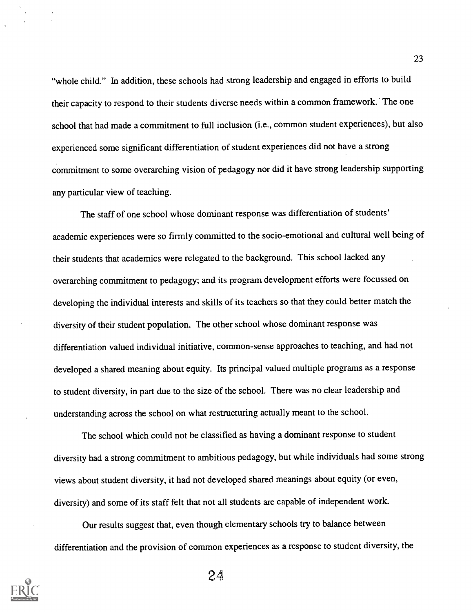"whole child." In addition, these schools had strong leadership and engaged in efforts to build their capacity to respond to their students diverse needs within a common framework. The one school that had made a commitment to full inclusion (i.e., common student experiences), but also experienced some significant differentiation of student experiences did not have a strong commitment to some overarching vision of pedagogy nor did it have strong leadership supporting any particular view of teaching.

The staff of one school whose dominant response was differentiation of students' academic experiences were so firmly committed to the socio-emotional and cultural well being of their students that academics were relegated to the background. This school lacked any overarching commitment to pedagogy; and its program development efforts were focussed on developing the individual interests and skills of its teachers so that they could better match the diversity of their student population. The other school whose dominant response was differentiation valued individual initiative, common-sense approaches to teaching, and had not developed a shared meaning about equity. Its principal valued multiple programs as a response to student diversity, in part due to the size of the school. There was no clear leadership and understanding across the school on what restructuring actually meant to the school.

The school which could not be classified as having a dominant response to student diversity had a strong commitment to ambitious pedagogy, but while individuals had some strong views about student diversity, it had not developed shared meanings about equity (or even, diversity) and some of its staff felt that not all students are capable of independent work.

Our results suggest that, even though elementary schools try to balance between differentiation and the provision of common experiences as a response to student diversity, the

2.4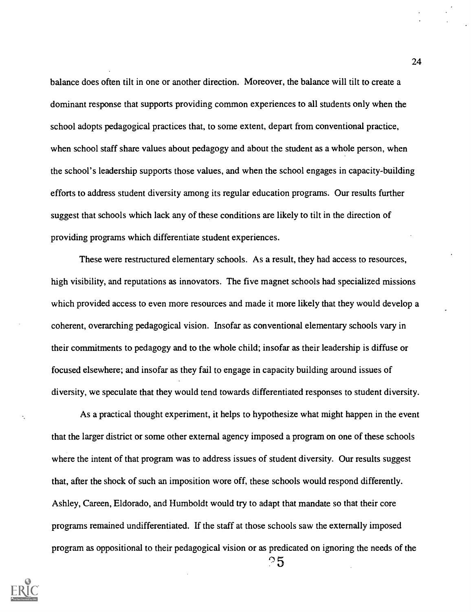balance does often tilt in one or another direction. Moreover, the balance will tilt to create a dominant response that supports providing common experiences to all students only when the school adopts pedagogical practices that, to some extent, depart from conventional practice, when school staff share values about pedagogy and about the student as a whole person, when the school's leadership supports those values, and when the school engages in capacity-building efforts to address student diversity among its regular education programs. Our results further suggest that schools which lack any of these conditions are likely to tilt in the direction of providing programs which differentiate student experiences.

These were restructured elementary schools. As a result, they had access to resources, high visibility, and reputations as innovators. The five magnet schools had specialized missions which provided access to even more resources and made it more likely that they would develop a coherent, overarching pedagogical vision. Insofar as conventional elementary schools vary in their commitments to pedagogy and to the whole child; insofar as their leadership is diffuse or focused elsewhere; and insofar as they fail to engage in capacity building around issues of diversity, we speculate that they would tend towards differentiated responses to student diversity.

As a practical thought experiment, it helps to hypothesize what might happen in the event that the larger district or some other external agency imposed a program on one of these schools where the intent of that program was to address issues of student diversity. Our results suggest that, after the shock of such an imposition wore off, these schools would respond differently. Ashley, Careen, Eldorado, and Humboldt would try to adapt that mandate so that their core programs remained undifferentiated. If the staff at those schools saw the externally imposed program as oppositional to their pedagogical vision or as predicated on ignoring the needs of the  $\degree$ 5

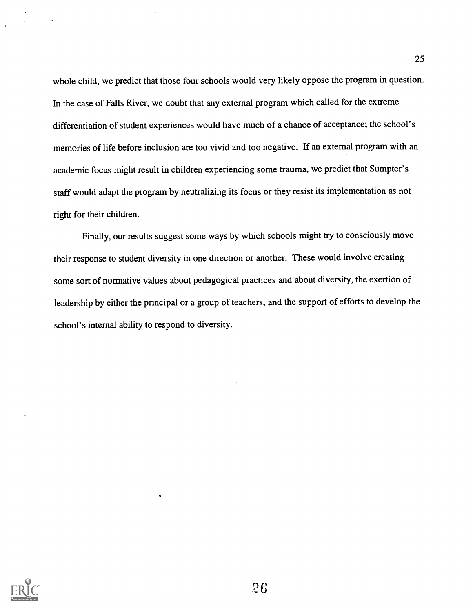whole child, we predict that those four schools would very likely oppose the program in question. In the case of Falls River, we doubt that any external program which called for the extreme differentiation of student experiences would have much of a chance of acceptance; the school's memories of life before inclusion are too vivid and too negative. If an external program with an academic focus might result in children experiencing some trauma, we predict that Sumpter's staff would adapt the program by neutralizing its focus or they resist its implementation as not right for their children.

Finally, our results suggest some ways by which schools might try to consciously move their response to student diversity in one direction or another. These would involve creating some sort of normative values about pedagogical practices and about diversity, the exertion of leadership by either the principal or a group of teachers, and the support of efforts to develop the school's internal ability to respond to diversity.

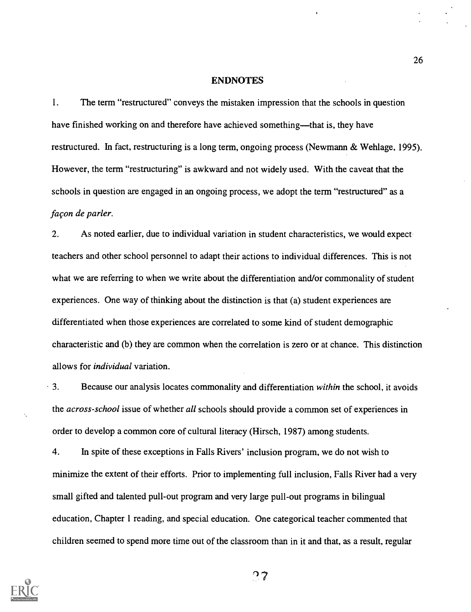#### ENDNOTES

1. The term "restructured" conveys the mistaken impression that the schools in question have finished working on and therefore have achieved something—that is, they have restructured. In fact, restructuring is a long term, ongoing process (Newmann & Wehlage, 1995). However, the term "restructuring" is awkward and not widely used. With the caveat that the schools in question are engaged in an ongoing process, we adopt the term "restructured" as a facon de parler.

2. As noted earlier, due to individual variation in student characteristics, we would expect teachers and other school personnel to adapt their actions to individual differences. This is not what we are referring to when we write about the differentiation and/or commonality of student experiences. One way of thinking about the distinction is that (a) student experiences are differentiated when those experiences are correlated to some kind of student demographic characteristic and (b) they are common when the correlation is zero or at chance. This distinction allows for individual variation.

 $\cdot$  3. Because our analysis locates commonality and differentiation within the school, it avoids the across-school issue of whether all schools should provide a common set of experiences in order to develop a common core of cultural literacy (Hirsch, 1987) among students.

4. In spite of these exceptions in Falls Rivers' inclusion program, we do not wish to minimize the extent of their efforts. Prior to implementing full inclusion, Falls River had a very small gifted and talented pull-out program and very large pull-out programs in bilingual education, Chapter 1 reading, and special education. One categorical teacher commented that children seemed to spend more time out of the classroom than in it and that, as a result, regular



າ 7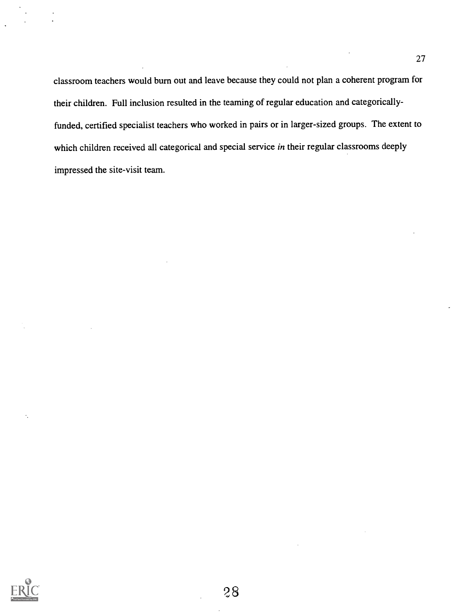classroom teachers would burn out and leave because they could not plan a coherent program for their children. Full inclusion resulted in the teaming of regular education and categoricallyfunded, certified specialist teachers who worked in pairs or in larger-sized groups. The extent to which children received all categorical and special service in their regular classrooms deeply impressed the site-visit team.

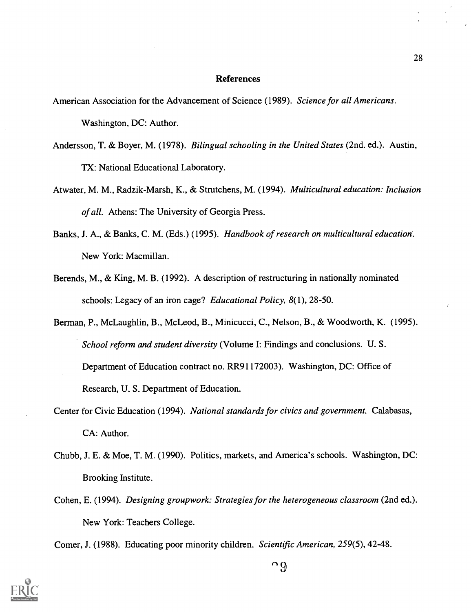#### References

- American Association for the Advancement of Science (1989). Science for all Americans. Washington, DC: Author.
- Andersson, T. & Boyer, M. (1978). Bilingual schooling in the United States (2nd. ed.). Austin, TX: National Educational Laboratory.
- Atwater, M. M., Radzik-Marsh, K., & Strutchens, M. (1994). Multicultural education: Inclusion of all. Athens: The University of Georgia Press.
- Banks, J. A., & Banks, C. M. (Eds.) (1995). Handbook of research on multicultural education. New York: Macmillan.
- Berends, M., & King, M. B. (1992). A description of restructuring in nationally nominated schools: Legacy of an iron cage? *Educational Policy*, 8(1), 28-50.
- Berman, P., McLaughlin, B., McLeod, B., Minicucci, C., Nelson, B., & Woodworth, K. (1995). School reform and student diversity (Volume I: Findings and conclusions. U.S. Department of Education contract no. RR91172003). Washington, DC: Office of Research, U. S. Department of Education.
- Center for Civic Education (1994). National standards for civics and government. Calabasas, CA: Author.
- Chubb, J. E. & Moe, T. M. (1990). Politics, markets, and America's schools. Washington, DC: Brooking Institute.
- Cohen, E. (1994). Designing groupwork: Strategies for the heterogeneous classroom (2nd ed.). New York: Teachers College.

Comer, J. (1988). Educating poor minority children. Scientific American, 259(5), 42-48.

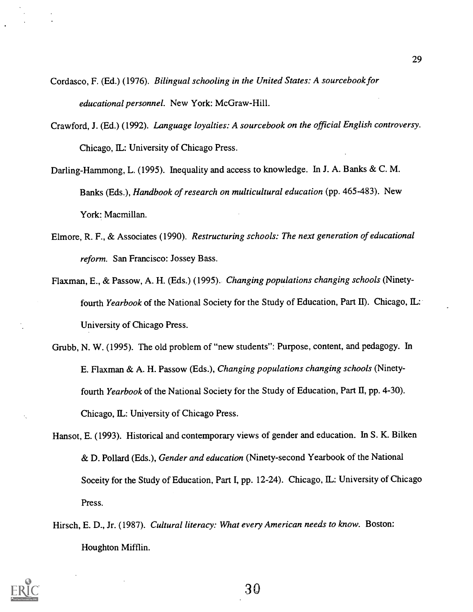- Cordasco, F. (Ed.) (1976). Bilingual schooling in the United States: A sourcebook for educational personnel. New York: McGraw-Hill.
- Crawford, J. (Ed.) (1992). Language loyalties: A sourcebook on the official English controversy. Chicago, IL: University of Chicago Press.
- Darling- Hammong, L. (1995). Inequality and access to knowledge. In J. A. Banks & C. M. Banks (Eds.), Handbook of research on multicultural education (pp. 465-483). New York: Macmillan.
- Elmore, R. F., & Associates (1990). Restructuring schools: The next generation of educational reform. San Francisco: Jossey Bass.
- Flaxman, E., & Passow, A. H. (Eds.) (1995). Changing populations changing schools (Ninetyfourth Yearbook of the National Society for the Study of Education, Part II). Chicago, IL: University of Chicago Press.
- Grubb, N. W. (1995). The old problem of "new students": Purpose, content, and pedagogy. In E. Flaxman & A. H. Passow (Eds.), Changing populations changing schools (Ninetyfourth Yearbook of the National Society for the Study of Education, Part II, pp. 4-30). Chicago, IL: University of Chicago Press.
- Hansot, E. (1993). Historical and contemporary views of gender and education. In S. K. Bilken & D. Pollard (Eds.), Gender and education (Ninety-second Yearbook of the National Soceity for the Study of Education, Part I, pp. 12-24). Chicago, IL: University of Chicago Press.
- Hirsch, E. D., Jr. (1987). Cultural literacy: What every American needs to know. Boston: Houghton Mifflin.

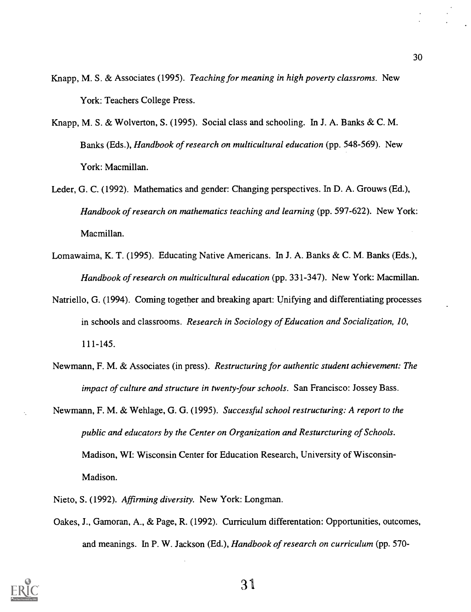- Knapp, M. S. & Associates (1995). Teaching for meaning in high poverty classroms. New York: Teachers College Press.
- Knapp, M. S. & Wolverton, S. (1995). Social class and schooling. In J. A. Banks & C. M. Banks (Eds.), *Handbook of research on multicultural education* (pp. 548-569). New York: Macmillan.
- Leder, G. C. (1992). Mathematics and gender: Changing perspectives. In D. A. Grouws (Ed.), Handbook of research on mathematics teaching and learning (pp. 597-622). New York: Macmillan.
- Lomawaima, K. T. (1995). Educating Native Americans. In J. A. Banks & C. M. Banks (Eds.), Handbook of research on multicultural education (pp. 331-347). New York: Macmillan.
- Natriello, G. (1994). Coming together and breaking apart: Unifying and differentiating processes in schools and classrooms. Research in Sociology of Education and Socialization, 10, 111-145.
- Newmann, F. M. & Associates (in press). Restructuring for authentic student achievement: The impact of culture and structure in twenty-four schools. San Francisco: Jossey Bass.
- Newmann, F. M. & Wehlage, G. G. (1995). Successful school restructuring: A report to the public and educators by the Center on Organization and Resturcturing of Schools. Madison, WI: Wisconsin Center for Education Research, University of Wisconsin-Madison.
	- Nieto, S. (1992). Affirming diversity. New York: Longman.
	- Oakes, J., Gamoran, A., & Page, R. (1992). Curriculum differentation: Opportunities, outcomes, and meanings. In P. W. Jackson (Ed.), Handbook of research on curriculum (pp. 570-

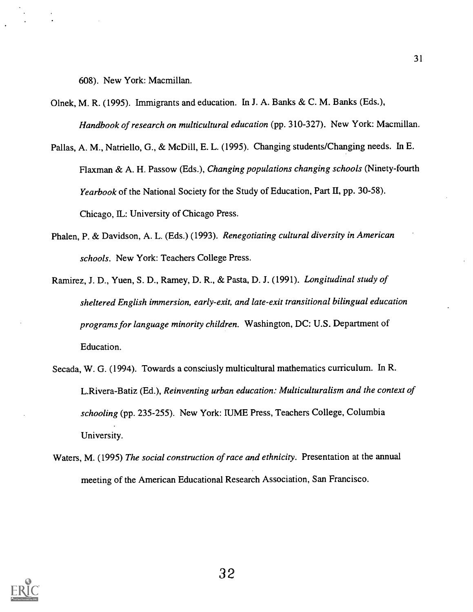608). New York: Macmillan.

- Olnek, M. R. (1995). Immigrants and education. In J. A. Banks & C. M. Banks (Eds.), Handbook of research on multicultural education (pp. 310-327). New York: Macmillan.
- Pallas, A. M., Natriello, G., & McDill, E. L. (1995). Changing students/Changing needs. In E. Flaxman & A. H. Passow (Eds.), Changing populations changing schools (Ninety-fourth Yearbook of the National Society for the Study of Education, Part II, pp. 30-58). Chicago, IL: University of Chicago Press.
- Phalen, P. & Davidson, A. L. (Eds.) (1993). Renegotiating cultural diversity in American schools. New York: Teachers College Press.
- Ramirez, J. D., Yuen, S. D., Ramey, D. R., & Pasta, D. J. (1991). Longitudinal study of sheltered English immersion, early-exit, and late-exit transitional bilingual education programs for language minority children. Washington, DC: U.S. Department of Education.
- Secada, W. G. (1994). Towards a consciusly multicultural mathematics curriculum. In R. L.Rivera-Batiz (Ed.), Reinventing urban education: Multiculturalism and the context of schooling (pp. 235-255). New York: IUME Press, Teachers College, Columbia University.
- Waters, M. (1995) The social construction of race and ethnicity. Presentation at the annual meeting of the American Educational Research Association, San Francisco.

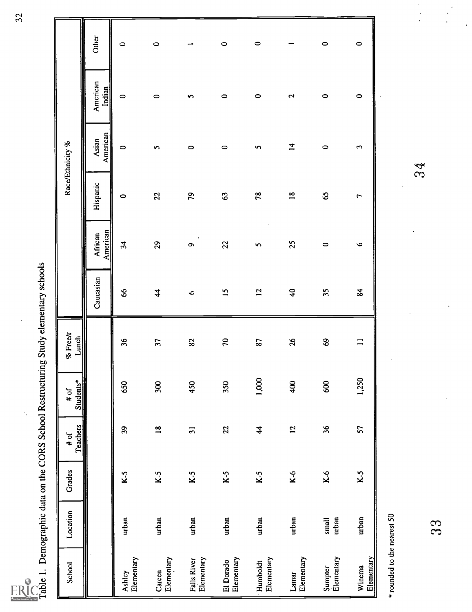| <b>A</b> Full To<br>by ERIC<br>xt Pi<br>did |
|---------------------------------------------|
|                                             |

| .<br>.                        |
|-------------------------------|
|                               |
|                               |
|                               |
|                               |
|                               |
|                               |
|                               |
| - 1)<br>2)<br>2)              |
|                               |
|                               |
|                               |
|                               |
|                               |
|                               |
|                               |
|                               |
|                               |
|                               |
|                               |
|                               |
| ļ                             |
|                               |
|                               |
|                               |
|                               |
| ととくく                          |
|                               |
|                               |
|                               |
|                               |
| :<br>)<br>)                   |
|                               |
| ;<br>;                        |
|                               |
| $\frac{1}{2}$                 |
|                               |
|                               |
| :<br>;<br>;                   |
|                               |
|                               |
| The company of the company of |
| wunder                        |
|                               |
|                               |
|                               |
|                               |
| ĺ                             |
| Í                             |
|                               |
| ۔<br>ت                        |
|                               |

k,

| School                      | Location       | Grades | Teachers<br>$#$ of | Students*<br># of | Lunch<br>% Free/r |                 |                           |                 | Race/Ethnicity %  |                           |         |  |
|-----------------------------|----------------|--------|--------------------|-------------------|-------------------|-----------------|---------------------------|-----------------|-------------------|---------------------------|---------|--|
|                             |                |        |                    |                   |                   | Caucasian       | American<br>African       | Hispanic        | American<br>Asian | American<br><b>Indian</b> | Other   |  |
| Elementary<br>Ashley        | urban          | $K-5$  | 39                 | 650               | 36                | 66              | 34                        | $\circ$         | $\circ$           | $\circ$                   | $\circ$ |  |
| Elementary<br>Careen        | urban          | $K-5$  | $\overline{18}$    | 300               | 37                | $\overline{4}$  | 29                        | 22              | S                 | $\circ$                   | $\circ$ |  |
| Falls River<br>Elementary   | urban          | $K-5$  | $\overline{31}$    | 450               | 23                | $\bullet$       | $\bullet$                 | 79              | $\circ$           | 5                         |         |  |
| Elementary<br>El Dorado     | urban          | $K-5$  | 22                 | 350               | 70                | $\overline{15}$ | 22                        | 63              | $\circ$           | $\circ$                   | $\circ$ |  |
| Elementary<br>Humboldt      | urban          | $K-5$  | $\frac{4}{3}$      | 1,000             | <b>S7</b>         | $\overline{12}$ | $\boldsymbol{\mathsf{v}}$ | 78              | $\mathbf{v}$      | $\circ$                   | $\circ$ |  |
| Elementary<br>Lamar         | urban          | $K-6$  | $\overline{5}$     | 400               | 26                | $\overline{40}$ | 25                        | $\overline{18}$ | $\overline{1}$    | $\mathbf{z}$              | −       |  |
| Sumpter<br>Elementary       | urban<br>small | $K-6$  | 36                 | 600               | $\mathbf{69}$     | 35              | $\circ$                   | 65              | $\circ$           | $\circ$                   | $\circ$ |  |
| Elementary<br>Winema        | urban          | $K-5$  | 57                 | 1,250             | $\equiv$          | 84              | $\bullet$                 | $\overline{r}$  | $\mathfrak{S}$    | $\circ$                   | $\circ$ |  |
| * rounded to the nearest 50 |                |        |                    |                   |                   |                 |                           |                 |                   |                           |         |  |
|                             | 33             |        |                    |                   |                   |                 |                           |                 | 3g                |                           |         |  |
|                             |                |        |                    |                   |                   |                 |                           |                 |                   |                           |         |  |

32

 $\frac{1}{2}$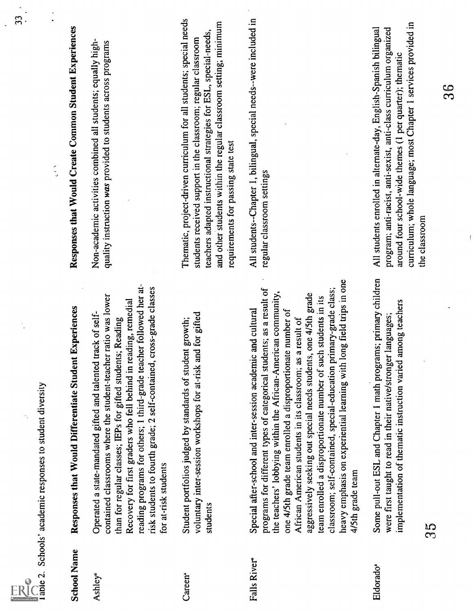|                            | Ū |
|----------------------------|---|
|                            |   |
| Full Text Provided by ERIC |   |

| RU                  | able 2. Schools' academic responses to student diversity                                                                                                                                                                                                                                                                                                                                                                                                                                                                                                                                                                                     |                                                                                                                                                                                                                                                                                                                      |
|---------------------|----------------------------------------------------------------------------------------------------------------------------------------------------------------------------------------------------------------------------------------------------------------------------------------------------------------------------------------------------------------------------------------------------------------------------------------------------------------------------------------------------------------------------------------------------------------------------------------------------------------------------------------------|----------------------------------------------------------------------------------------------------------------------------------------------------------------------------------------------------------------------------------------------------------------------------------------------------------------------|
| <b>School Name</b>  | Responses that Would Differentiate Student Experiences                                                                                                                                                                                                                                                                                                                                                                                                                                                                                                                                                                                       | Responses that Would Create Common Student Experiences<br>$\hat{\cdot}$                                                                                                                                                                                                                                              |
| Ashley <sup>a</sup> | reading programs for others; 1 third-grade teacher followed her at-<br>risk students to fourth grade; 2 self-contained, cross-grade classes<br>contained classrooms where the student-teacher ratio was lower<br>Recovery for first graders who fell behind in reading, remedial<br>Operated a state-mandated gifted and talented track of self-<br>than for regular classes; IEPs for gifted students; Reading<br>for at-risk students                                                                                                                                                                                                      | Non-academic activities combined all students; equally high-<br>quality instruction was provided to students across programs                                                                                                                                                                                         |
| Careen <sup>®</sup> | voluntary inter-session workshops for at-risk and for gifted<br>Student portfolios judged by standards of student growth;<br>students                                                                                                                                                                                                                                                                                                                                                                                                                                                                                                        | Thematic, project-driven curriculum for all students; special needs<br>and other students within the regular classroom setting; minimum<br>teachers adapted instructional strategies for ESL, special-needs,<br>students received support in the classroom; regular classroom<br>requirements for passing state test |
| Falls River         | heavy emphasis on experiential learning with long field trips in one<br>programs for different types of categorical students; as a result of<br>classroom; self-contained, special-education primary-grade class;<br>the teachers' lobbying within the African-American community,<br>aggressively seeking out special needs students, one 4/5th grade<br>such students in its<br>Special after-school and inter-session academic and cultural<br>one 4/5th grade team enrolled a disproportionate number of<br>African American students in its classroom; as a result of<br>team enrolled a disproportionate number of<br>4/5th grade team | All students--Chapter 1, bilingual, special needs--were included in<br>regular classroom settings                                                                                                                                                                                                                    |
| Eldoradoª           | Some pull-out ESL and Chapter 1 math programs; primary children<br>implementation of thematic instruction varied among teachers<br>were first taught to read in their native/stronger languages;<br>ξ<br>ε                                                                                                                                                                                                                                                                                                                                                                                                                                   | curriculum; whole language; most Chapter 1 services provided in<br>All students enrolled in alternate-day, English-Spanish bilingual<br>program; anti-racist, anti-sexist, anti-class curriculum organized<br>around four school-wide themes (1 per quarter); thematic<br>the classroom                              |
|                     |                                                                                                                                                                                                                                                                                                                                                                                                                                                                                                                                                                                                                                              | ထိ                                                                                                                                                                                                                                                                                                                   |
|                     |                                                                                                                                                                                                                                                                                                                                                                                                                                                                                                                                                                                                                                              |                                                                                                                                                                                                                                                                                                                      |

 $\frac{1}{2}$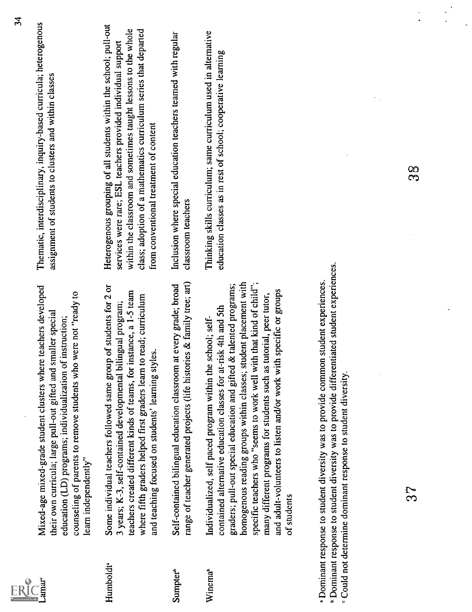|                             |                                                                                                                                                                                                                                                                                                                                                                                                                                                                                                                | $\mathbf{z}$<br>Thematic, interdisciplinary, inquiry-based curricula; heterogenous                                                                                                                                                                                                                                |
|-----------------------------|----------------------------------------------------------------------------------------------------------------------------------------------------------------------------------------------------------------------------------------------------------------------------------------------------------------------------------------------------------------------------------------------------------------------------------------------------------------------------------------------------------------|-------------------------------------------------------------------------------------------------------------------------------------------------------------------------------------------------------------------------------------------------------------------------------------------------------------------|
| amar <sup>c</sup>           | Mixed-age mixed-grade student clusters where teachers developed<br>counseling of parents to remove students who were not "ready to<br>their own curricula; large pull-out gifted and smaller special<br>education (LD) programs; individualization of instruction;<br>learn independently"                                                                                                                                                                                                                     | assignment of students to clusters and within classes                                                                                                                                                                                                                                                             |
| Humboldt <sup>ª</sup>       | Some individual teachers followed same group of students for 2 or<br>teachers created different kinds of teams, for instance, a 1-5 team<br>where fifth graders helped first graders learn to read; curriculum<br>bilingual program;<br>and teaching focused on students' learning styles.<br>3 years; K-3, self-contained developmental                                                                                                                                                                       | Heterogenous grouping of all students within the school; pull-out<br>within the classroom and sometimes taught lessons to the whole<br>class; adoption of a mathematics curriculum series that departed<br>services were rare; ESL teachers provided individual support<br>from conventional treatment of content |
| <b>Sumpter</b> <sup>b</sup> | range of teacher generated projects (life histories & family tree; art)<br>Self-contained bilingual education classroom at every grade; broad                                                                                                                                                                                                                                                                                                                                                                  | Inclusion where special education teachers teamed with regular<br>classroom teachers                                                                                                                                                                                                                              |
| Winema                      | student placement with<br>specific teachers who "seems to work well with that kind of child";<br>graders; pull-out special education and gifted & talented programs;<br>and adult-volunteers to listen and/or work with specific or groups<br>many different programs for students such as tutorial, peer tutor,<br>contained alternative education classes for at-risk 4th and 5th<br>Individualized, self paced program within the school; self-<br>homogenous reading groups within classes;<br>of students | Thinking skills curriculum; same curriculum used in alternative<br>education classes as in rest of school; cooperative learning                                                                                                                                                                                   |
|                             | <sup>th</sup> Dominant response to student diversity was to provide differentiated student experiences.<br><sup>a</sup> Dominant response to student diversity was to provide common student experiences.<br>Could not determine dominant response to student diversity.                                                                                                                                                                                                                                       |                                                                                                                                                                                                                                                                                                                   |
|                             | 52                                                                                                                                                                                                                                                                                                                                                                                                                                                                                                             | 8<br>3                                                                                                                                                                                                                                                                                                            |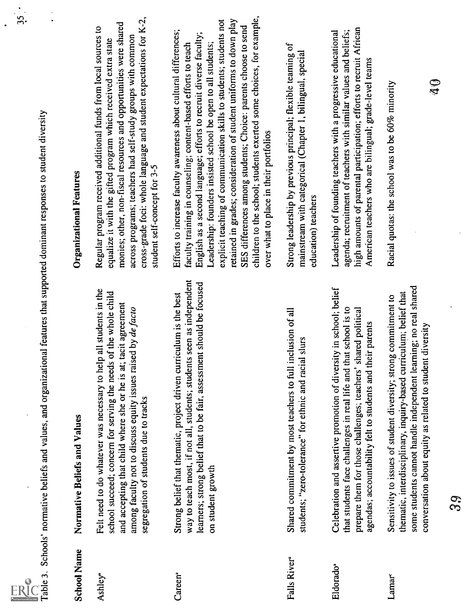3.5

- 
- 
- 
- 
- 

This 3, Schools' mumitive helds and oppositionsal feature the input of demand magnetic substantiveless, and oppositionsal feature the integration feature into the standard continue of the standard continue of the standard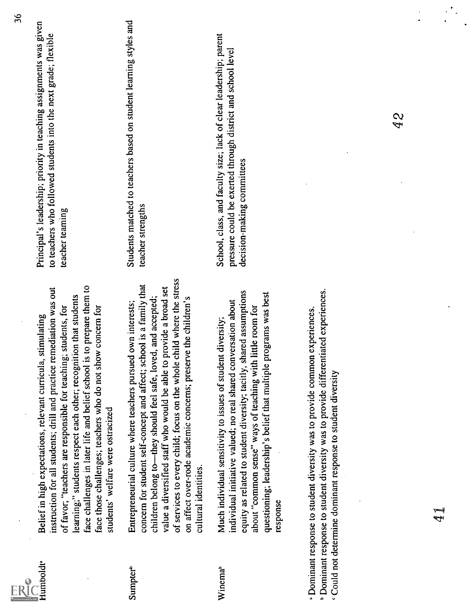| Full Text Provided by ERIC |
|----------------------------|

Indexidar denotes the state of the state of the state of the state of the state of the state of the state of the state of the state of the state of the state of the state of the state of the state of the state of the stat

36<br>Principal's leadership; priority in teaching assignments was given